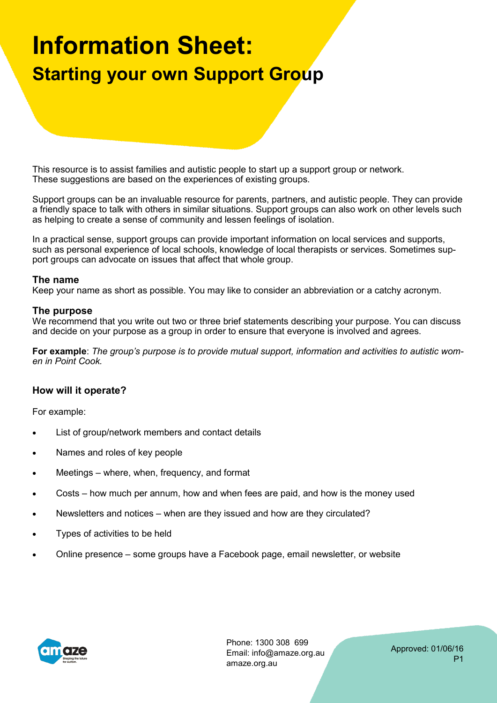# **Information Sheet: Starting your own Support Group**

This resource is to assist families and autistic people to start up a support group or network. These suggestions are based on the experiences of existing groups.

Support groups can be an invaluable resource for parents, partners, and autistic people. They can provide a friendly space to talk with others in similar situations. Support groups can also work on other levels such as helping to create a sense of community and lessen feelings of isolation.

In a practical sense, support groups can provide important information on local services and supports, such as personal experience of local schools, knowledge of local therapists or services. Sometimes support groups can advocate on issues that affect that whole group.

### **The name**

Keep your name as short as possible. You may like to consider an abbreviation or a catchy acronym.

### **The purpose**

We recommend that you write out two or three brief statements describing your purpose. You can discuss and decide on your purpose as a group in order to ensure that everyone is involved and agrees.

**For example**: *The group's purpose is to provide mutual support, information and activities to autistic women in Point Cook.* 

### **How will it operate?**

For example:

- List of group/network members and contact details
- Names and roles of key people
- Meetings where, when, frequency, and format
- Costs how much per annum, how and when fees are paid, and how is the money used
- Newsletters and notices when are they issued and how are they circulated?
- Types of activities to be held
- Online presence some groups have a Facebook page, email newsletter, or website



Phone: 1300 308 699 Email: info@amaze.org.au amaze.org.au